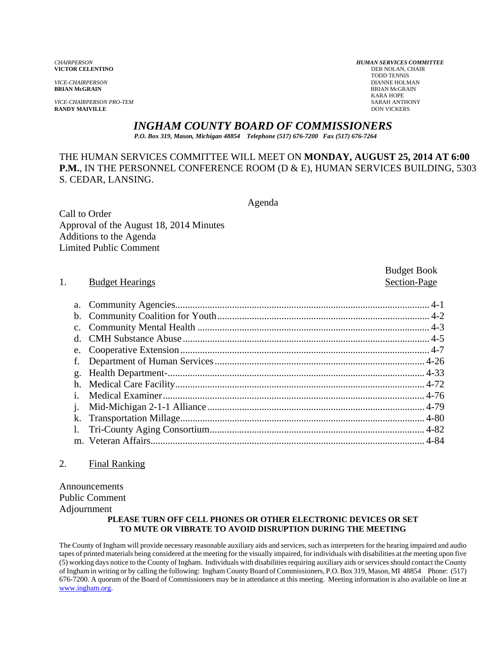*VICE-CHAIRPERSON PRO-TEM* SARAH ANTHONY **RANDY MAIVILLE** 

*CHAIRPERSON HUMAN SERVICES COMMITTEE* **VICTOR CELENTINO** DEB NOLAN, C<br>
TODD TENNIS TODD TENNIS *VICE-CHAIRPERSON* DIANNE HOLMAN **BRIAN McGRAIN** BRIAN McGRAIN KARA HOPE

Budget Book

## *INGHAM COUNTY BOARD OF COMMISSIONERS*

*P.O. Box 319, Mason, Michigan 48854 Telephone (517) 676-7200 Fax (517) 676-7264*

## THE HUMAN SERVICES COMMITTEE WILL MEET ON **MONDAY, AUGUST 25, 2014 AT 6:00 P.M.**, IN THE PERSONNEL CONFERENCE ROOM (D & E), HUMAN SERVICES BUILDING, 5303 S. CEDAR, LANSING.

Agenda

Call to Order Approval of the August 18, 2014 Minutes Additions to the Agenda Limited Public Comment

#### 1. Budget Hearings Section-Page

## a. Community Agencies....................................................................................................... 4-1 b. Community Coalition for Youth ...................................................................................... 4-2 c. Community Mental Health .............................................................................................. 4-3 d. CMH Substance Abuse .................................................................................................... 4-5 e. Cooperative Extension ..................................................................................................... 4-7 f. Department of Human Services ..................................................................................... 4-26 g. Health Department- ........................................................................................................ 4-33 h. Medical Care Facility ..................................................................................................... 4-72 i. Medical Examiner .......................................................................................................... 4-76 j. Mid-Michigan 2-1-1 Alliance ........................................................................................ 4-79 k. Transportation Millage ................................................................................................... 4-80 l. Tri-County Aging Consortium ....................................................................................... 4-82 m. Veteran Affairs............................................................................................................... 4-84

#### 2. Final Ranking

Announcements Public Comment Adjournment

#### **PLEASE TURN OFF CELL PHONES OR OTHER ELECTRONIC DEVICES OR SET TO MUTE OR VIBRATE TO AVOID DISRUPTION DURING THE MEETING**

The County of Ingham will provide necessary reasonable auxiliary aids and services, such as interpreters for the hearing impaired and audio tapes of printed materials being considered at the meeting for the visually impaired, for individuals with disabilities at the meeting upon five (5) working days notice to the County of Ingham. Individuals with disabilities requiring auxiliary aids or services should contact the County of Ingham in writing or by calling the following: Ingham County Board of Commissioners, P.O. Box 319, Mason, MI 48854 Phone: (517) 676-7200. A quorum of the Board of Commissioners may be in attendance at this meeting. Meeting information is also available on line at www.ingham.org.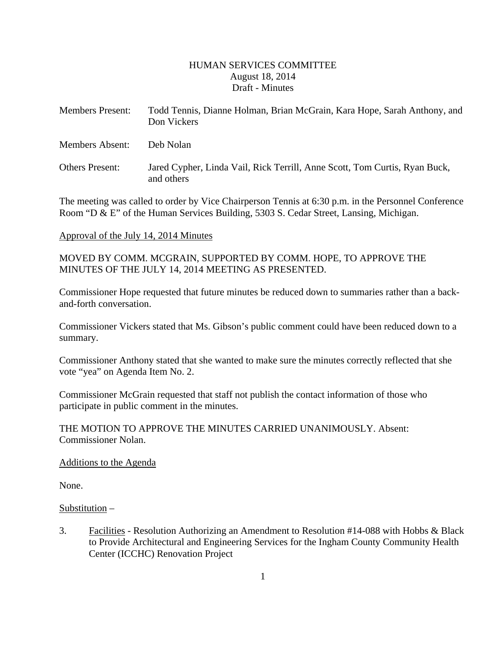#### HUMAN SERVICES COMMITTEE August 18, 2014 Draft - Minutes

| <b>Members Present:</b> | Todd Tennis, Dianne Holman, Brian McGrain, Kara Hope, Sarah Anthony, and<br>Don Vickers  |
|-------------------------|------------------------------------------------------------------------------------------|
| <b>Members Absent:</b>  | Deb Nolan                                                                                |
| <b>Others Present:</b>  | Jared Cypher, Linda Vail, Rick Terrill, Anne Scott, Tom Curtis, Ryan Buck,<br>and others |

The meeting was called to order by Vice Chairperson Tennis at 6:30 p.m. in the Personnel Conference Room "D & E" of the Human Services Building, 5303 S. Cedar Street, Lansing, Michigan.

#### Approval of the July 14, 2014 Minutes

MOVED BY COMM. MCGRAIN, SUPPORTED BY COMM. HOPE, TO APPROVE THE MINUTES OF THE JULY 14, 2014 MEETING AS PRESENTED.

Commissioner Hope requested that future minutes be reduced down to summaries rather than a backand-forth conversation.

Commissioner Vickers stated that Ms. Gibson's public comment could have been reduced down to a summary.

Commissioner Anthony stated that she wanted to make sure the minutes correctly reflected that she vote "yea" on Agenda Item No. 2.

Commissioner McGrain requested that staff not publish the contact information of those who participate in public comment in the minutes.

THE MOTION TO APPROVE THE MINUTES CARRIED UNANIMOUSLY. Absent: Commissioner Nolan.

#### Additions to the Agenda

None.

#### Substitution –

3. Facilities - Resolution Authorizing an Amendment to Resolution #14-088 with Hobbs & Black to Provide Architectural and Engineering Services for the Ingham County Community Health Center (ICCHC) Renovation Project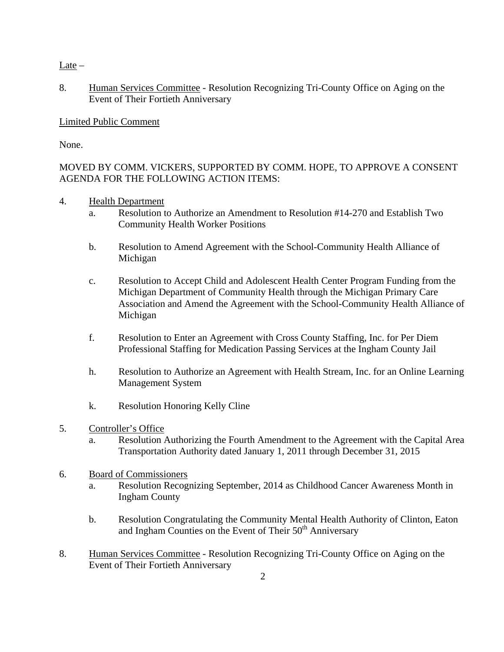Late –

8. Human Services Committee - Resolution Recognizing Tri-County Office on Aging on the Event of Their Fortieth Anniversary

#### Limited Public Comment

None.

## MOVED BY COMM. VICKERS, SUPPORTED BY COMM. HOPE, TO APPROVE A CONSENT AGENDA FOR THE FOLLOWING ACTION ITEMS:

4. Health Department

- a. Resolution to Authorize an Amendment to Resolution #14-270 and Establish Two Community Health Worker Positions
- b. Resolution to Amend Agreement with the School-Community Health Alliance of Michigan
- c. Resolution to Accept Child and Adolescent Health Center Program Funding from the Michigan Department of Community Health through the Michigan Primary Care Association and Amend the Agreement with the School-Community Health Alliance of Michigan
- f. Resolution to Enter an Agreement with Cross County Staffing, Inc. for Per Diem Professional Staffing for Medication Passing Services at the Ingham County Jail
- h. Resolution to Authorize an Agreement with Health Stream, Inc. for an Online Learning Management System
- k. Resolution Honoring Kelly Cline
- 5. Controller's Office
	- a. Resolution Authorizing the Fourth Amendment to the Agreement with the Capital Area Transportation Authority dated January 1, 2011 through December 31, 2015
- 6. Board of Commissioners
	- a. Resolution Recognizing September, 2014 as Childhood Cancer Awareness Month in Ingham County
	- b. Resolution Congratulating the Community Mental Health Authority of Clinton, Eaton and Ingham Counties on the Event of Their 50<sup>th</sup> Anniversary
- 8. Human Services Committee Resolution Recognizing Tri-County Office on Aging on the Event of Their Fortieth Anniversary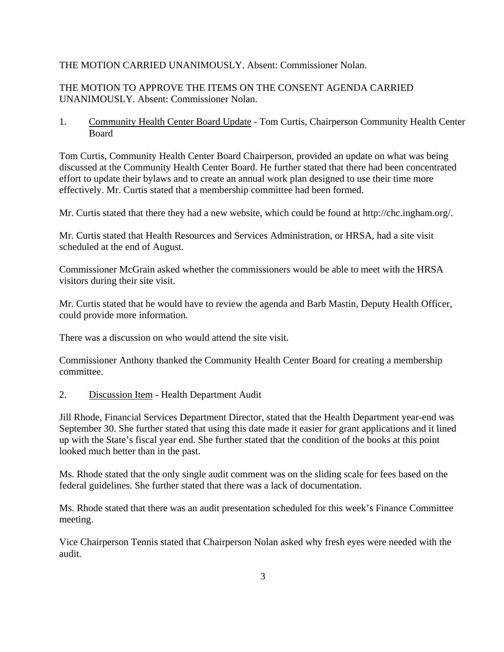#### THE MOTION CARRIED UNANIMOUSLY. Absent: Commissioner Nolan.

#### THE MOTION TO APPROVE THE ITEMS ON THE CONSENT AGENDA CARRIED UNANIMOUSLY. Absent: Commissioner Nolan.

1. Community Health Center Board Update - Tom Curtis, Chairperson Community Health Center Board

Tom Curtis, Community Health Center Board Chairperson, provided an update on what was being discussed at the Community Health Center Board. He further stated that there had been concentrated effort to update their bylaws and to create an annual work plan designed to use their time more effectively. Mr. Curtis stated that a membership committee had been formed.

Mr. Curtis stated that there they had a new website, which could be found at http://chc.ingham.org/.

Mr. Curtis stated that Health Resources and Services Administration, or HRSA, had a site visit scheduled at the end of August.

Commissioner McGrain asked whether the commissioners would be able to meet with the HRSA visitors during their site visit.

Mr. Curtis stated that he would have to review the agenda and Barb Mastin, Deputy Health Officer, could provide more information.

There was a discussion on who would attend the site visit.

Commissioner Anthony thanked the Community Health Center Board for creating a membership committee.

2. Discussion Item - Health Department Audit

Jill Rhode, Financial Services Department Director, stated that the Health Department year-end was September 30. She further stated that using this date made it easier for grant applications and it lined up with the State's fiscal year end. She further stated that the condition of the books at this point looked much better than in the past.

Ms. Rhode stated that the only single audit comment was on the sliding scale for fees based on the federal guidelines. She further stated that there was a lack of documentation.

Ms. Rhode stated that there was an audit presentation scheduled for this week's Finance Committee meeting.

Vice Chairperson Tennis stated that Chairperson Nolan asked why fresh eyes were needed with the audit.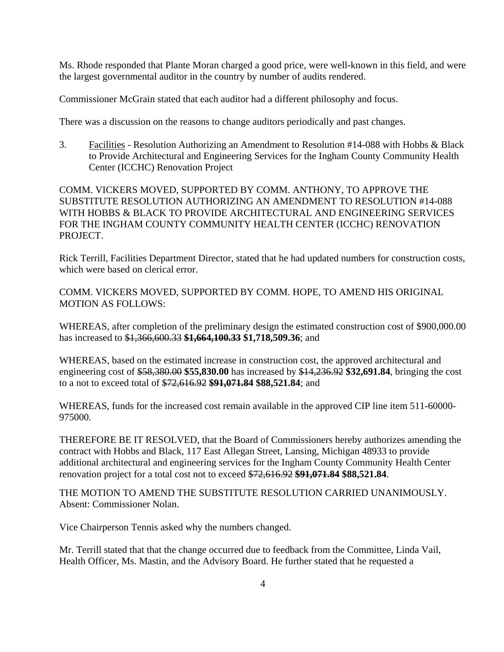Ms. Rhode responded that Plante Moran charged a good price, were well-known in this field, and were the largest governmental auditor in the country by number of audits rendered.

Commissioner McGrain stated that each auditor had a different philosophy and focus.

There was a discussion on the reasons to change auditors periodically and past changes.

3. Facilities - Resolution Authorizing an Amendment to Resolution #14-088 with Hobbs & Black to Provide Architectural and Engineering Services for the Ingham County Community Health Center (ICCHC) Renovation Project

COMM. VICKERS MOVED, SUPPORTED BY COMM. ANTHONY, TO APPROVE THE SUBSTITUTE RESOLUTION AUTHORIZING AN AMENDMENT TO RESOLUTION #14-088 WITH HOBBS & BLACK TO PROVIDE ARCHITECTURAL AND ENGINEERING SERVICES FOR THE INGHAM COUNTY COMMUNITY HEALTH CENTER (ICCHC) RENOVATION PROJECT.

Rick Terrill, Facilities Department Director, stated that he had updated numbers for construction costs, which were based on clerical error.

COMM. VICKERS MOVED, SUPPORTED BY COMM. HOPE, TO AMEND HIS ORIGINAL MOTION AS FOLLOWS:

WHEREAS, after completion of the preliminary design the estimated construction cost of \$900,000.00 has increased to \$1,366,600.33 **\$1,664,100.33 \$1,718,509.36**; and

WHEREAS, based on the estimated increase in construction cost, the approved architectural and engineering cost of \$58,380.00 **\$55,830.00** has increased by \$14,236.92 **\$32,691.84**, bringing the cost to a not to exceed total of \$72,616.92 **\$91,071.84 \$88,521.84**; and

WHEREAS, funds for the increased cost remain available in the approved CIP line item 511-60000- 975000.

THEREFORE BE IT RESOLVED, that the Board of Commissioners hereby authorizes amending the contract with Hobbs and Black, 117 East Allegan Street, Lansing, Michigan 48933 to provide additional architectural and engineering services for the Ingham County Community Health Center renovation project for a total cost not to exceed \$72,616.92 **\$91,071.84 \$88,521.84**.

THE MOTION TO AMEND THE SUBSTITUTE RESOLUTION CARRIED UNANIMOUSLY. Absent: Commissioner Nolan.

Vice Chairperson Tennis asked why the numbers changed.

Mr. Terrill stated that that the change occurred due to feedback from the Committee, Linda Vail, Health Officer, Ms. Mastin, and the Advisory Board. He further stated that he requested a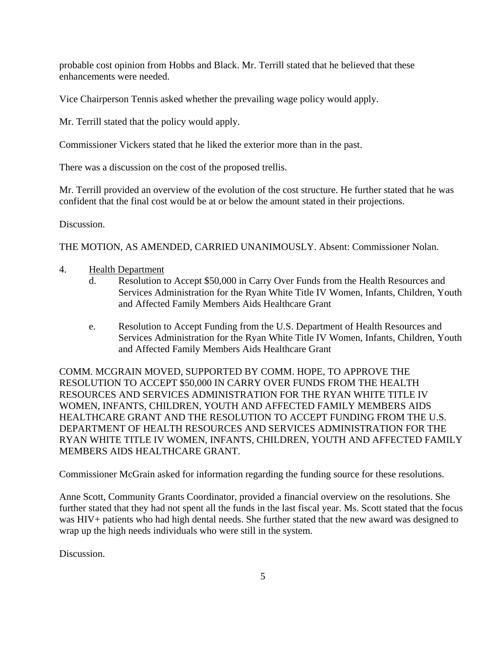probable cost opinion from Hobbs and Black. Mr. Terrill stated that he believed that these enhancements were needed.

Vice Chairperson Tennis asked whether the prevailing wage policy would apply.

Mr. Terrill stated that the policy would apply.

Commissioner Vickers stated that he liked the exterior more than in the past.

There was a discussion on the cost of the proposed trellis.

Mr. Terrill provided an overview of the evolution of the cost structure. He further stated that he was confident that the final cost would be at or below the amount stated in their projections.

Discussion.

THE MOTION, AS AMENDED, CARRIED UNANIMOUSLY. Absent: Commissioner Nolan.

- 4. Health Department
	- d. Resolution to Accept \$50,000 in Carry Over Funds from the Health Resources and Services Administration for the Ryan White Title IV Women, Infants, Children, Youth and Affected Family Members Aids Healthcare Grant
	- e. Resolution to Accept Funding from the U.S. Department of Health Resources and Services Administration for the Ryan White Title IV Women, Infants, Children, Youth and Affected Family Members Aids Healthcare Grant

COMM. MCGRAIN MOVED, SUPPORTED BY COMM. HOPE, TO APPROVE THE RESOLUTION TO ACCEPT \$50,000 IN CARRY OVER FUNDS FROM THE HEALTH RESOURCES AND SERVICES ADMINISTRATION FOR THE RYAN WHITE TITLE IV WOMEN, INFANTS, CHILDREN, YOUTH AND AFFECTED FAMILY MEMBERS AIDS HEALTHCARE GRANT AND THE RESOLUTION TO ACCEPT FUNDING FROM THE U.S. DEPARTMENT OF HEALTH RESOURCES AND SERVICES ADMINISTRATION FOR THE RYAN WHITE TITLE IV WOMEN, INFANTS, CHILDREN, YOUTH AND AFFECTED FAMILY MEMBERS AIDS HEALTHCARE GRANT.

Commissioner McGrain asked for information regarding the funding source for these resolutions.

Anne Scott, Community Grants Coordinator, provided a financial overview on the resolutions. She further stated that they had not spent all the funds in the last fiscal year. Ms. Scott stated that the focus was HIV+ patients who had high dental needs. She further stated that the new award was designed to wrap up the high needs individuals who were still in the system.

Discussion.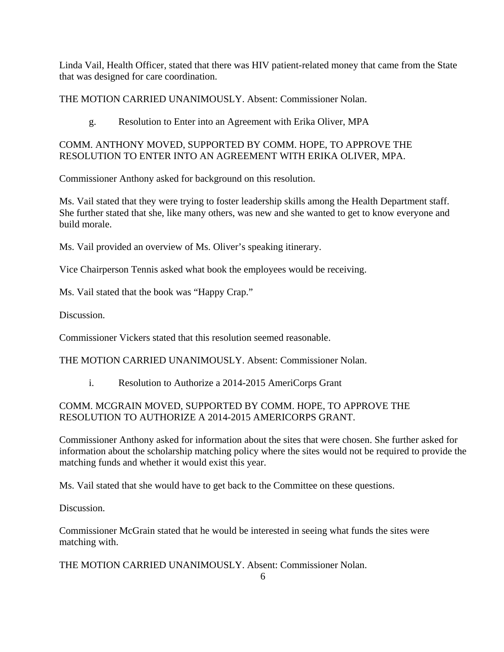Linda Vail, Health Officer, stated that there was HIV patient-related money that came from the State that was designed for care coordination.

THE MOTION CARRIED UNANIMOUSLY. Absent: Commissioner Nolan.

## g. Resolution to Enter into an Agreement with Erika Oliver, MPA

## COMM. ANTHONY MOVED, SUPPORTED BY COMM. HOPE, TO APPROVE THE RESOLUTION TO ENTER INTO AN AGREEMENT WITH ERIKA OLIVER, MPA.

Commissioner Anthony asked for background on this resolution.

Ms. Vail stated that they were trying to foster leadership skills among the Health Department staff. She further stated that she, like many others, was new and she wanted to get to know everyone and build morale.

Ms. Vail provided an overview of Ms. Oliver's speaking itinerary.

Vice Chairperson Tennis asked what book the employees would be receiving.

Ms. Vail stated that the book was "Happy Crap."

Discussion.

Commissioner Vickers stated that this resolution seemed reasonable.

THE MOTION CARRIED UNANIMOUSLY. Absent: Commissioner Nolan.

i. Resolution to Authorize a 2014-2015 AmeriCorps Grant

## COMM. MCGRAIN MOVED, SUPPORTED BY COMM. HOPE, TO APPROVE THE RESOLUTION TO AUTHORIZE A 2014-2015 AMERICORPS GRANT.

Commissioner Anthony asked for information about the sites that were chosen. She further asked for information about the scholarship matching policy where the sites would not be required to provide the matching funds and whether it would exist this year.

Ms. Vail stated that she would have to get back to the Committee on these questions.

Discussion.

Commissioner McGrain stated that he would be interested in seeing what funds the sites were matching with.

THE MOTION CARRIED UNANIMOUSLY. Absent: Commissioner Nolan.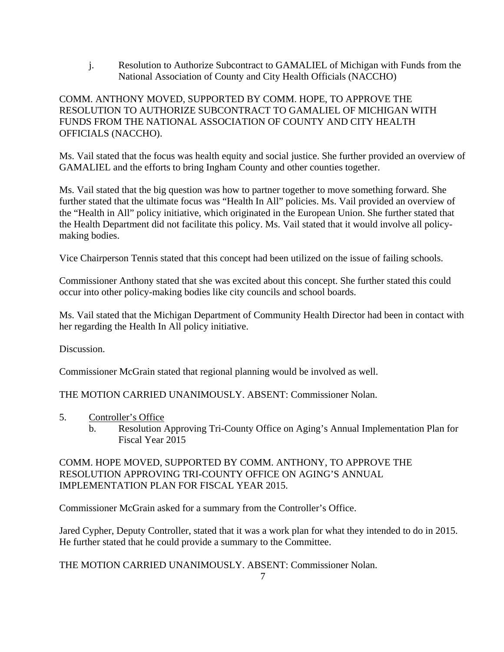j. Resolution to Authorize Subcontract to GAMALIEL of Michigan with Funds from the National Association of County and City Health Officials (NACCHO)

## COMM. ANTHONY MOVED, SUPPORTED BY COMM. HOPE, TO APPROVE THE RESOLUTION TO AUTHORIZE SUBCONTRACT TO GAMALIEL OF MICHIGAN WITH FUNDS FROM THE NATIONAL ASSOCIATION OF COUNTY AND CITY HEALTH OFFICIALS (NACCHO).

Ms. Vail stated that the focus was health equity and social justice. She further provided an overview of GAMALIEL and the efforts to bring Ingham County and other counties together.

Ms. Vail stated that the big question was how to partner together to move something forward. She further stated that the ultimate focus was "Health In All" policies. Ms. Vail provided an overview of the "Health in All" policy initiative, which originated in the European Union. She further stated that the Health Department did not facilitate this policy. Ms. Vail stated that it would involve all policymaking bodies.

Vice Chairperson Tennis stated that this concept had been utilized on the issue of failing schools.

Commissioner Anthony stated that she was excited about this concept. She further stated this could occur into other policy-making bodies like city councils and school boards.

Ms. Vail stated that the Michigan Department of Community Health Director had been in contact with her regarding the Health In All policy initiative.

Discussion.

Commissioner McGrain stated that regional planning would be involved as well.

THE MOTION CARRIED UNANIMOUSLY. ABSENT: Commissioner Nolan.

- 5. Controller's Office
	- b. Resolution Approving Tri-County Office on Aging's Annual Implementation Plan for Fiscal Year 2015

COMM. HOPE MOVED, SUPPORTED BY COMM. ANTHONY, TO APPROVE THE RESOLUTION APPROVING TRI-COUNTY OFFICE ON AGING'S ANNUAL IMPLEMENTATION PLAN FOR FISCAL YEAR 2015.

Commissioner McGrain asked for a summary from the Controller's Office.

Jared Cypher, Deputy Controller, stated that it was a work plan for what they intended to do in 2015. He further stated that he could provide a summary to the Committee.

THE MOTION CARRIED UNANIMOUSLY. ABSENT: Commissioner Nolan.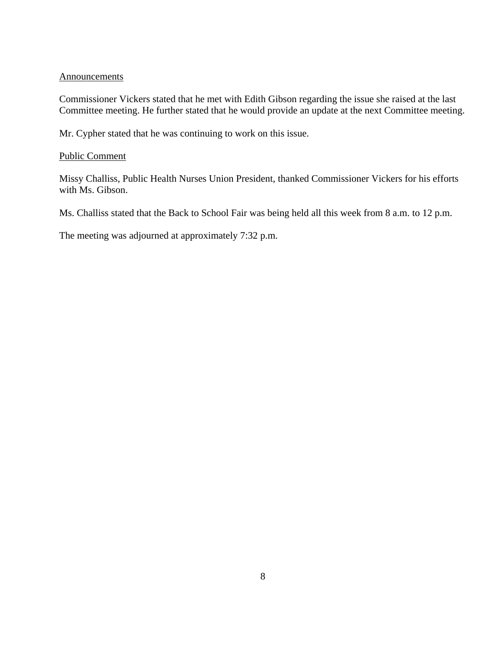#### Announcements

Commissioner Vickers stated that he met with Edith Gibson regarding the issue she raised at the last Committee meeting. He further stated that he would provide an update at the next Committee meeting.

Mr. Cypher stated that he was continuing to work on this issue.

#### Public Comment

Missy Challiss, Public Health Nurses Union President, thanked Commissioner Vickers for his efforts with Ms. Gibson.

Ms. Challiss stated that the Back to School Fair was being held all this week from 8 a.m. to 12 p.m.

The meeting was adjourned at approximately 7:32 p.m.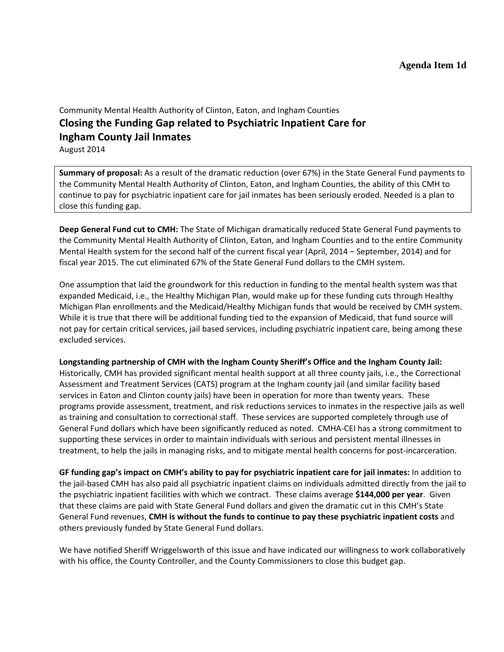# Community Mental Health Authority of Clinton, Eaton, and Ingham Counties **Closing the Funding Gap related to Psychiatric Inpatient Care for Ingham County Jail Inmates**

August 2014

**Summary of proposal:** As a result of the dramatic reduction (over 67%) in the State General Fund payments to the Community Mental Health Authority of Clinton, Eaton, and Ingham Counties, the ability of this CMH to continue to pay for psychiatric inpatient care for jail inmates has been seriously eroded. Needed is a plan to close this funding gap.

**Deep General Fund cut to CMH:** The State of Michigan dramatically reduced State General Fund payments to the Community Mental Health Authority of Clinton, Eaton, and Ingham Counties and to the entire Community Mental Health system for the second half of the current fiscal year (April, 2014 – September, 2014) and for fiscal year 2015. The cut eliminated 67% of the State General Fund dollars to the CMH system.

One assumption that laid the groundwork for this reduction in funding to the mental health system was that expanded Medicaid, i.e., the Healthy Michigan Plan, would make up for these funding cuts through Healthy Michigan Plan enrollments and the Medicaid/Healthy Michigan funds that would be received by CMH system. While it is true that there will be additional funding tied to the expansion of Medicaid, that fund source will not pay for certain critical services, jail based services, including psychiatric inpatient care, being among these excluded services.

**Longstanding partnership of CMH with the Ingham County Sheriff's Office and the Ingham County Jail:** Historically, CMH has provided significant mental health support at all three county jails, i.e., the Correctional Assessment and Treatment Services (CATS) program at the Ingham county jail (and similar facility based services in Eaton and Clinton county jails) have been in operation for more than twenty years. These programs provide assessment, treatment, and risk reductions services to inmates in the respective jails as well as training and consultation to correctional staff. These services are supported completely through use of General Fund dollars which have been significantly reduced as noted. CMHA-CEI has a strong commitment to supporting these services in order to maintain individuals with serious and persistent mental illnesses in treatment, to help the jails in managing risks, and to mitigate mental health concerns for post-incarceration.

**GF funding gap's impact on CMH's ability to pay for psychiatric inpatient care for jail inmates:** In addition to the jail-based CMH has also paid all psychiatric inpatient claims on individuals admitted directly from the jail to the psychiatric inpatient facilities with which we contract. These claims average **\$144,000 per year**. Given that these claims are paid with State General Fund dollars and given the dramatic cut in this CMH's State General Fund revenues, **CMH is without the funds to continue to pay these psychiatric inpatient costs** and others previously funded by State General Fund dollars.

We have notified Sheriff Wriggelsworth of this issue and have indicated our willingness to work collaboratively with his office, the County Controller, and the County Commissioners to close this budget gap.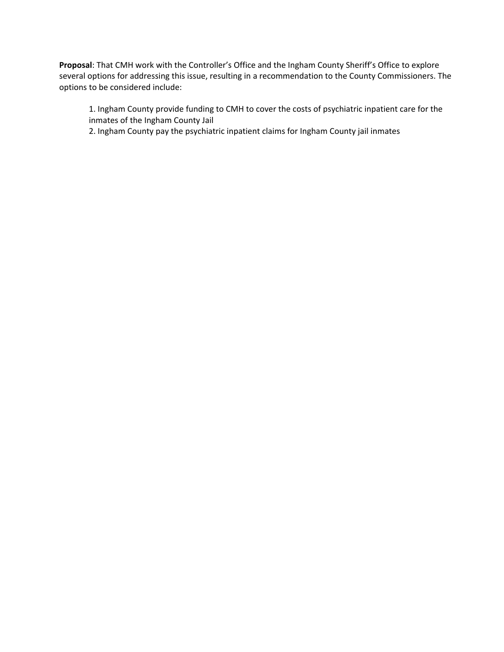**Proposal**: That CMH work with the Controller's Office and the Ingham County Sheriff's Office to explore several options for addressing this issue, resulting in a recommendation to the County Commissioners. The options to be considered include:

1. Ingham County provide funding to CMH to cover the costs of psychiatric inpatient care for the inmates of the Ingham County Jail

2. Ingham County pay the psychiatric inpatient claims for Ingham County jail inmates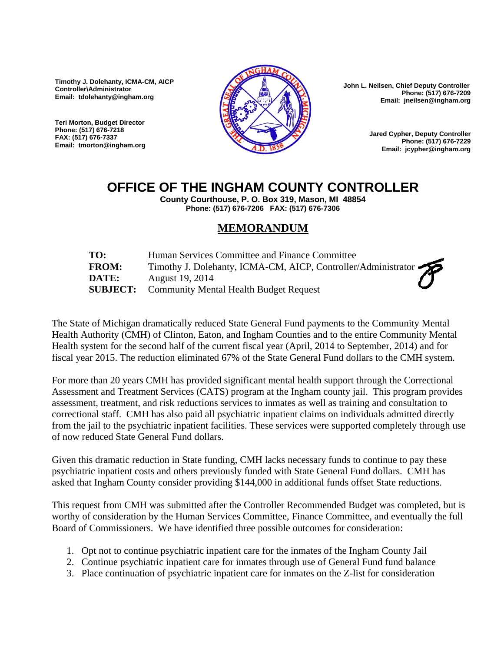**Timothy J. Dolehanty, ICMA-CM, AICP Controller\Administrator Email: tdolehanty@ingham.org** 

**Teri Morton, Budget Director Phone: (517) 676-7218 FAX: (517) 676-7337 Email: tmorton@ingham.org**



 **John L. Neilsen, Chief Deputy Controller Phone: (517) 676-7209 Email: jneilsen@ingham.org** 

> **Jared Cypher, Deputy Controller Phone: (517) 676-7229 Email: jcypher@ingham.org**

## **OFFICE OF THE INGHAM COUNTY CONTROLLER**

**County Courthouse, P. O. Box 319, Mason, MI 48854 Phone: (517) 676-7206 FAX: (517) 676-7306** 

## **MEMORANDUM**

| TO:          | Human Services Committee and Finance Committee                |
|--------------|---------------------------------------------------------------|
| <b>FROM:</b> | Timothy J. Dolehanty, ICMA-CM, AICP, Controller/Administrator |
| <b>DATE:</b> | August 19, 2014<br>7                                          |
|              | <b>SUBJECT:</b> Community Mental Health Budget Request        |

The State of Michigan dramatically reduced State General Fund payments to the Community Mental Health Authority (CMH) of Clinton, Eaton, and Ingham Counties and to the entire Community Mental Health system for the second half of the current fiscal year (April, 2014 to September, 2014) and for fiscal year 2015. The reduction eliminated 67% of the State General Fund dollars to the CMH system.

For more than 20 years CMH has provided significant mental health support through the Correctional Assessment and Treatment Services (CATS) program at the Ingham county jail. This program provides assessment, treatment, and risk reductions services to inmates as well as training and consultation to correctional staff. CMH has also paid all psychiatric inpatient claims on individuals admitted directly from the jail to the psychiatric inpatient facilities. These services were supported completely through use of now reduced State General Fund dollars.

Given this dramatic reduction in State funding, CMH lacks necessary funds to continue to pay these psychiatric inpatient costs and others previously funded with State General Fund dollars. CMH has asked that Ingham County consider providing \$144,000 in additional funds offset State reductions.

This request from CMH was submitted after the Controller Recommended Budget was completed, but is worthy of consideration by the Human Services Committee, Finance Committee, and eventually the full Board of Commissioners. We have identified three possible outcomes for consideration:

- 1. Opt not to continue psychiatric inpatient care for the inmates of the Ingham County Jail
- 2. Continue psychiatric inpatient care for inmates through use of General Fund fund balance
- 3. Place continuation of psychiatric inpatient care for inmates on the Z-list for consideration